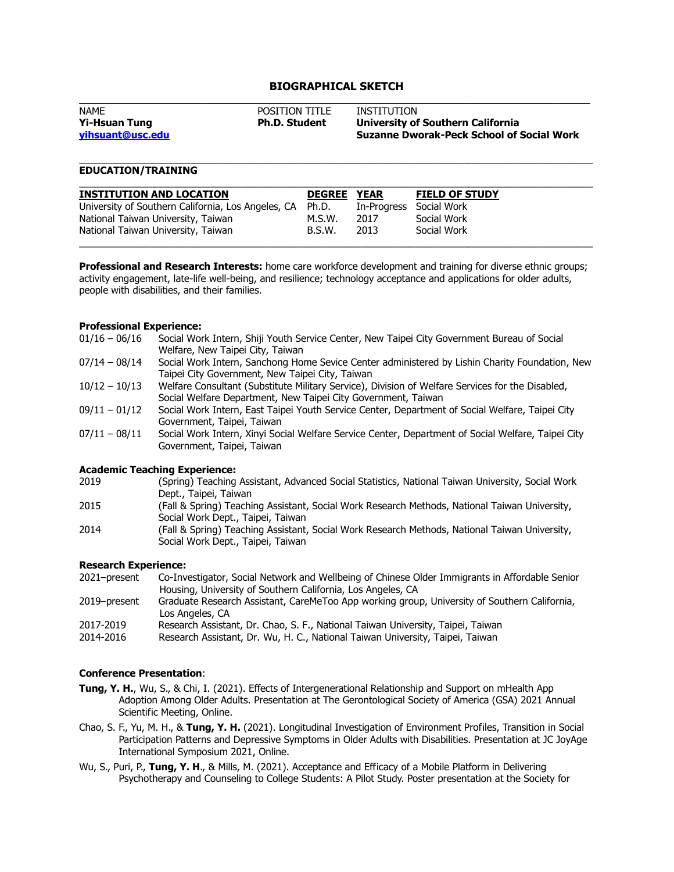# **BIOGRAPHICAL SKETCH**

| <b>NAME</b>          | <b>POSITION TITLE</b> | INSTITUTION                                      |
|----------------------|-----------------------|--------------------------------------------------|
| <b>Yi-Hsuan Tung</b> | <b>Ph.D. Student</b>  | University of Southern California                |
| vihsuant@usc.edu     |                       | <b>Suzanne Dworak-Peck School of Social Work</b> |
|                      |                       |                                                  |

## **EDUCATION/TRAINING**

| <b>INSTITUTION AND LOCATION</b>                    | <b>DEGREE</b> | <b>YEAR</b> | <b>FIELD OF STUDY</b>   |
|----------------------------------------------------|---------------|-------------|-------------------------|
| University of Southern California, Los Angeles, CA | Ph.D.         |             | In-Progress Social Work |
| National Taiwan University, Taiwan                 | M.S.W.        | 2017        | Social Work             |
| National Taiwan University, Taiwan                 | B.S.W.        | 2013        | Social Work             |

\_\_\_\_\_\_\_\_\_\_\_\_\_\_\_\_\_\_\_\_\_\_\_\_\_\_\_\_\_\_\_\_\_\_\_\_\_\_\_\_\_\_\_\_\_\_\_\_\_\_\_\_\_\_\_\_\_\_\_\_\_\_\_\_\_\_\_\_\_\_\_\_\_\_\_\_\_\_\_\_\_\_\_\_\_\_\_\_\_\_\_\_\_\_\_

**Professional and Research Interests:** home care workforce development and training for diverse ethnic groups; activity engagement, late-life well-being, and resilience; technology acceptance and applications for older adults, people with disabilities, and their families.

### **Professional Experience:**

- 01/16 06/16 Social Work Intern, Shiji Youth Service Center, New Taipei City Government Bureau of Social Welfare, New Taipei City, Taiwan
- 07/14 08/14 Social Work Intern, Sanchong Home Sevice Center administered by Lishin Charity Foundation, New Taipei City Government, New Taipei City, Taiwan
- 10/12 10/13 Welfare Consultant (Substitute Military Service), Division of Welfare Services for the Disabled, Social Welfare Department, New Taipei City Government, Taiwan
- 09/11 01/12 Social Work Intern, East Taipei Youth Service Center, Department of Social Welfare, Taipei City Government, Taipei, Taiwan
- 07/11 08/11 Social Work Intern, Xinyi Social Welfare Service Center, Department of Social Welfare, Taipei City Government, Taipei, Taiwan

#### **Academic Teaching Experience:**

- 2019 (Spring) Teaching Assistant, Advanced Social Statistics, National Taiwan University, Social Work Dept., Taipei, Taiwan
- 2015 (Fall & Spring) Teaching Assistant, Social Work Research Methods, National Taiwan University, Social Work Dept., Taipei, Taiwan
- 2014 (Fall & Spring) Teaching Assistant, Social Work Research Methods, National Taiwan University, Social Work Dept., Taipei, Taiwan

#### **Research Experience:**

2021–present Co-Investigator, Social Network and Wellbeing of Chinese Older Immigrants in Affordable Senior Housing, University of Southern California, Los Angeles, CA 2019–present Graduate Research Assistant, CareMeToo App working group, University of Southern California, Los Angeles, CA 2017-2019 Research Assistant, Dr. Chao, S. F., National Taiwan University, Taipei, Taiwan 2014-2016 Research Assistant, Dr. Wu, H. C., National Taiwan University, Taipei, Taiwan

## **Conference Presentation**:

- **Tung, Y. H.**, Wu, S., & Chi, I. (2021). Effects of Intergenerational Relationship and Support on mHealth App Adoption Among Older Adults. Presentation at The Gerontological Society of America (GSA) 2021 Annual Scientific Meeting, Online.
- Chao, S. F., Yu, M. H., & **Tung, Y. H.** (2021). Longitudinal Investigation of Environment Profiles, Transition in Social Participation Patterns and Depressive Symptoms in Older Adults with Disabilities. Presentation at JC JoyAge International Symposium 2021, Online.
- Wu, S., Puri, P., **Tung, Y. H**., & Mills, M. (2021). Acceptance and Efficacy of a Mobile Platform in Delivering Psychotherapy and Counseling to College Students: A Pilot Study. Poster presentation at the Society for